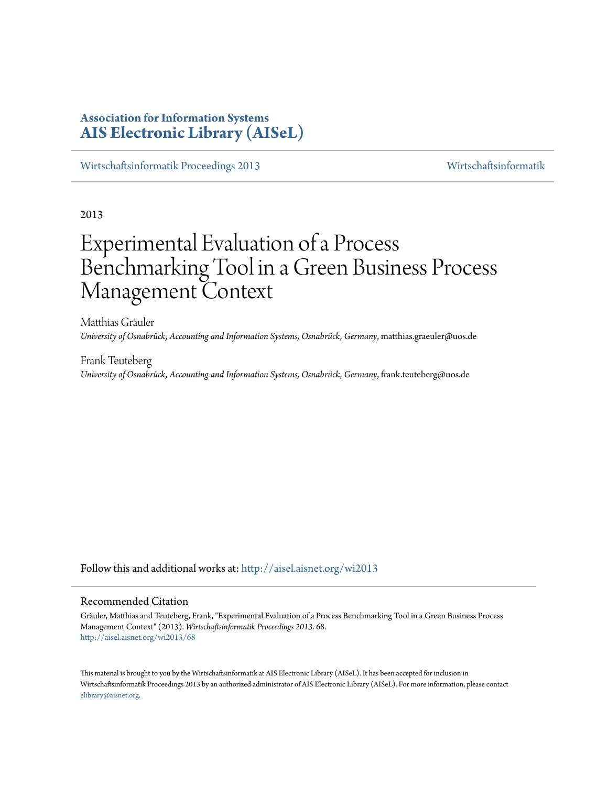# **Association for Information Systems [AIS Electronic Library \(AISeL\)](http://aisel.aisnet.org?utm_source=aisel.aisnet.org%2Fwi2013%2F68&utm_medium=PDF&utm_campaign=PDFCoverPages)**

[Wirtschaftsinformatik Proceedings 2013](http://aisel.aisnet.org/wi2013?utm_source=aisel.aisnet.org%2Fwi2013%2F68&utm_medium=PDF&utm_campaign=PDFCoverPages) [Wirtschaftsinformatik](http://aisel.aisnet.org/wi?utm_source=aisel.aisnet.org%2Fwi2013%2F68&utm_medium=PDF&utm_campaign=PDFCoverPages)

2013

# Experimental Evaluation of a Process Benchmarking Tool in a Green Business Process Management Context

Matthias Gräuler *University of Osnabrück, Accounting and Information Systems, Osnabrück, Germany*, matthias.graeuler@uos.de

Frank Teuteberg *University of Osnabrück, Accounting and Information Systems, Osnabrück, Germany*, frank.teuteberg@uos.de

Follow this and additional works at: [http://aisel.aisnet.org/wi2013](http://aisel.aisnet.org/wi2013?utm_source=aisel.aisnet.org%2Fwi2013%2F68&utm_medium=PDF&utm_campaign=PDFCoverPages)

#### Recommended Citation

Gräuler, Matthias and Teuteberg, Frank, "Experimental Evaluation of a Process Benchmarking Tool in a Green Business Process Management Context" (2013). *Wirtschaftsinformatik Proceedings 2013*. 68. [http://aisel.aisnet.org/wi2013/68](http://aisel.aisnet.org/wi2013/68?utm_source=aisel.aisnet.org%2Fwi2013%2F68&utm_medium=PDF&utm_campaign=PDFCoverPages)

This material is brought to you by the Wirtschaftsinformatik at AIS Electronic Library (AISeL). It has been accepted for inclusion in Wirtschaftsinformatik Proceedings 2013 by an authorized administrator of AIS Electronic Library (AISeL). For more information, please contact [elibrary@aisnet.org.](mailto:elibrary@aisnet.org%3E)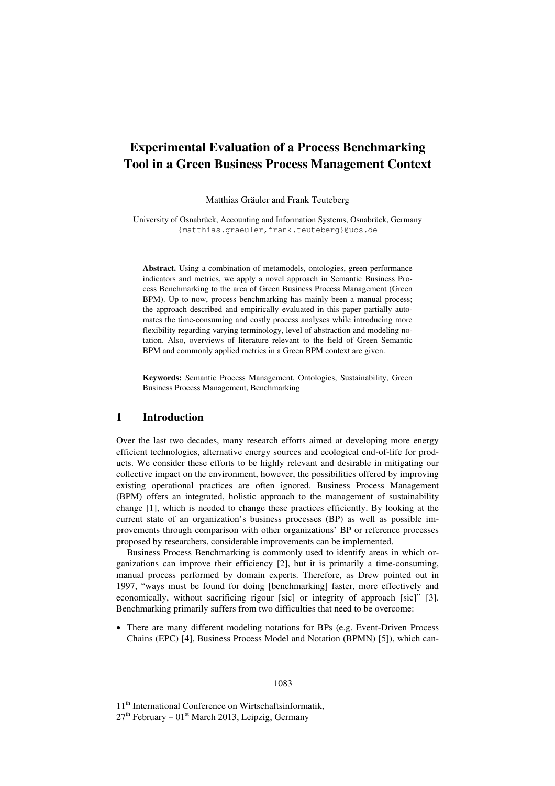# **Experimental Evaluation of a Process Benchmarking Tool in a Green Business Process Management Context**

Matthias Gräuler and Frank Teuteberg

University of Osnabrück, Accounting and Information Systems, Osnabrück, Germany {matthias.graeuler,frank.teuteberg}@uos.de

**Abstract.** Using a combination of metamodels, ontologies, green performance indicators and metrics, we apply a novel approach in Semantic Business Process Benchmarking to the area of Green Business Process Management (Green BPM). Up to now, process benchmarking has mainly been a manual process; the approach described and empirically evaluated in this paper partially automates the time-consuming and costly process analyses while introducing more flexibility regarding varying terminology, level of abstraction and modeling notation. Also, overviews of literature relevant to the field of Green Semantic BPM and commonly applied metrics in a Green BPM context are given.

**Keywords:** Semantic Process Management, Ontologies, Sustainability, Green Business Process Management, Benchmarking

#### **1 Introduction**

Over the last two decades, many research efforts aimed at developing more energy efficient technologies, alternative energy sources and ecological end-of-life for products. We consider these efforts to be highly relevant and desirable in mitigating our collective impact on the environment, however, the possibilities offered by improving existing operational practices are often ignored. Business Process Management (BPM) offers an integrated, holistic approach to the management of sustainability change [1], which is needed to change these practices efficiently. By looking at the current state of an organization's business processes (BP) as well as possible improvements through comparison with other organizations' BP or reference processes proposed by researchers, considerable improvements can be implemented.

Business Process Benchmarking is commonly used to identify areas in which organizations can improve their efficiency [2], but it is primarily a time-consuming, manual process performed by domain experts. Therefore, as Drew pointed out in 1997, "ways must be found for doing [benchmarking] faster, more effectively and economically, without sacrificing rigour [sic] or integrity of approach [sic]" [3]. Benchmarking primarily suffers from two difficulties that need to be overcome:

 There are many different modeling notations for BPs (e.g. Event-Driven Process Chains (EPC) [4], Business Process Model and Notation (BPMN) [5]), which can-

11<sup>th</sup> International Conference on Wirtschaftsinformatik,  $27<sup>th</sup>$  February –  $01<sup>st</sup>$  March 2013, Leipzig, Germany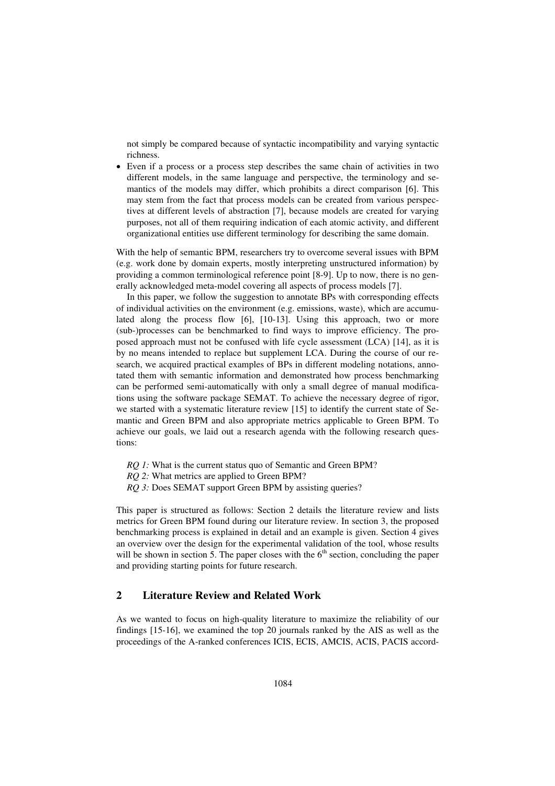not simply be compared because of syntactic incompatibility and varying syntactic richness.

 Even if a process or a process step describes the same chain of activities in two different models, in the same language and perspective, the terminology and semantics of the models may differ, which prohibits a direct comparison [6]. This may stem from the fact that process models can be created from various perspectives at different levels of abstraction [7], because models are created for varying purposes, not all of them requiring indication of each atomic activity, and different organizational entities use different terminology for describing the same domain.

With the help of semantic BPM, researchers try to overcome several issues with BPM (e.g. work done by domain experts, mostly interpreting unstructured information) by providing a common terminological reference point [8-9]. Up to now, there is no generally acknowledged meta-model covering all aspects of process models [7].

In this paper, we follow the suggestion to annotate BPs with corresponding effects of individual activities on the environment (e.g. emissions, waste), which are accumulated along the process flow [6], [10-13]. Using this approach, two or more (sub-)processes can be benchmarked to find ways to improve efficiency. The proposed approach must not be confused with life cycle assessment (LCA) [14], as it is by no means intended to replace but supplement LCA. During the course of our research, we acquired practical examples of BPs in different modeling notations, annotated them with semantic information and demonstrated how process benchmarking can be performed semi-automatically with only a small degree of manual modifications using the software package SEMAT. To achieve the necessary degree of rigor, we started with a systematic literature review [15] to identify the current state of Semantic and Green BPM and also appropriate metrics applicable to Green BPM. To achieve our goals, we laid out a research agenda with the following research questions:

*RQ 1:* What is the current status quo of Semantic and Green BPM?

*RQ 2:* What metrics are applied to Green BPM?

*RQ 3:* Does SEMAT support Green BPM by assisting queries?

This paper is structured as follows: Section 2 details the literature review and lists metrics for Green BPM found during our literature review. In section 3, the proposed benchmarking process is explained in detail and an example is given. Section 4 gives an overview over the design for the experimental validation of the tool, whose results will be shown in section 5. The paper closes with the  $6<sup>th</sup>$  section, concluding the paper and providing starting points for future research.

#### **2 Literature Review and Related Work**

As we wanted to focus on high-quality literature to maximize the reliability of our findings [15-16], we examined the top 20 journals ranked by the AIS as well as the proceedings of the A-ranked conferences ICIS, ECIS, AMCIS, ACIS, PACIS accord-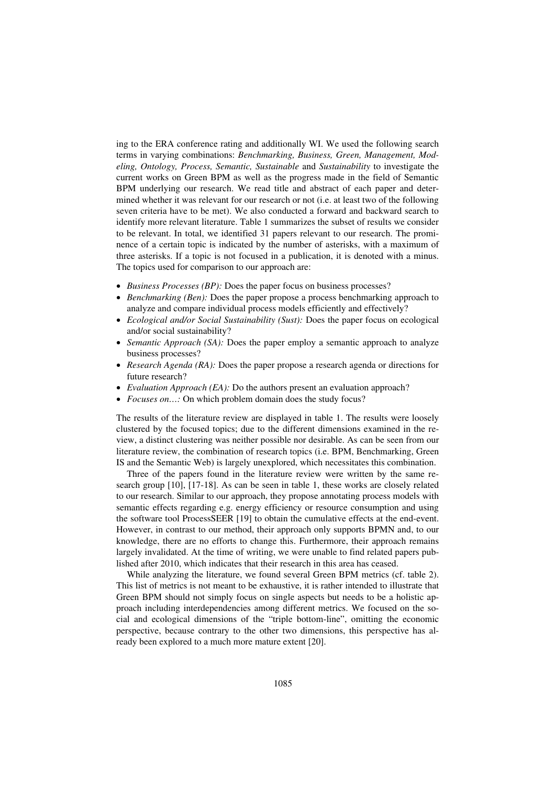ing to the ERA conference rating and additionally WI. We used the following search terms in varying combinations: *Benchmarking, Business, Green, Management, Modeling, Ontology, Process, Semantic, Sustainable* and *Sustainability* to investigate the current works on Green BPM as well as the progress made in the field of Semantic BPM underlying our research. We read title and abstract of each paper and determined whether it was relevant for our research or not (i.e. at least two of the following seven criteria have to be met). We also conducted a forward and backward search to identify more relevant literature. Table 1 summarizes the subset of results we consider to be relevant. In total, we identified 31 papers relevant to our research. The prominence of a certain topic is indicated by the number of asterisks, with a maximum of three asterisks. If a topic is not focused in a publication, it is denoted with a minus. The topics used for comparison to our approach are:

- *Business Processes (BP):* Does the paper focus on business processes?
- *Benchmarking (Ben):* Does the paper propose a process benchmarking approach to analyze and compare individual process models efficiently and effectively?
- *Ecological and/or Social Sustainability (Sust):* Does the paper focus on ecological and/or social sustainability?
- *Semantic Approach (SA):* Does the paper employ a semantic approach to analyze business processes?
- *Research Agenda (RA):* Does the paper propose a research agenda or directions for future research?
- *Evaluation Approach (EA):* Do the authors present an evaluation approach?
- *Focuses on...:* On which problem domain does the study focus?

The results of the literature review are displayed in table 1. The results were loosely clustered by the focused topics; due to the different dimensions examined in the review, a distinct clustering was neither possible nor desirable. As can be seen from our literature review, the combination of research topics (i.e. BPM, Benchmarking, Green IS and the Semantic Web) is largely unexplored, which necessitates this combination.

Three of the papers found in the literature review were written by the same research group [10], [17-18]. As can be seen in table 1, these works are closely related to our research. Similar to our approach, they propose annotating process models with semantic effects regarding e.g. energy efficiency or resource consumption and using the software tool ProcessSEER [19] to obtain the cumulative effects at the end-event. However, in contrast to our method, their approach only supports BPMN and, to our knowledge, there are no efforts to change this. Furthermore, their approach remains largely invalidated. At the time of writing, we were unable to find related papers published after 2010, which indicates that their research in this area has ceased.

While analyzing the literature, we found several Green BPM metrics (cf. table 2). This list of metrics is not meant to be exhaustive, it is rather intended to illustrate that Green BPM should not simply focus on single aspects but needs to be a holistic approach including interdependencies among different metrics. We focused on the social and ecological dimensions of the "triple bottom-line", omitting the economic perspective, because contrary to the other two dimensions, this perspective has already been explored to a much more mature extent [20].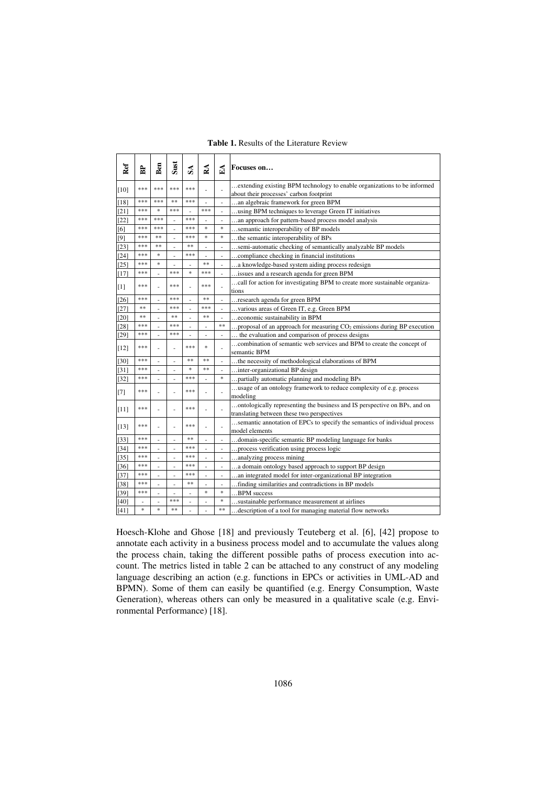#### **Table 1.** Results of the Literature Review

| Ref             | Ê                        | Ben                      | Sust | S <sub>A</sub> | వ              | Á      | Focuses on                                                                                                              |  |
|-----------------|--------------------------|--------------------------|------|----------------|----------------|--------|-------------------------------------------------------------------------------------------------------------------------|--|
|                 | ***                      | ***                      | ***  | ***            |                |        | extending existing BPM technology to enable organizations to be informed                                                |  |
| $[10]$          |                          |                          |      |                |                | ÷      | about their processes' carbon footprint                                                                                 |  |
| $[18]$          | ***                      | ***                      | **   | ***            | ä,             | L,     | an algebraic framework for green BPM                                                                                    |  |
| [21]            | ***                      | $\frac{1}{2}$            | ***  |                | ***            | ä,     | using BPM techniques to leverage Green IT initiatives                                                                   |  |
| [22]            | ***                      | ***                      | ä,   | ***            | ä,             | ÷,     | an approach for pattern-based process model analysis                                                                    |  |
| $6\overline{1}$ | ***                      | ***                      |      | ***            | $\ast$         | ×.     | semantic interoperability of BP models                                                                                  |  |
| [9]             | ***                      | **                       |      | ***            | ×.             | ×.     | the semantic interoperability of BPs                                                                                    |  |
| 231             | ***                      | **                       |      | **             | ÷.             | ÷,     | semi-automatic checking of semantically analyzable BP models                                                            |  |
| $[24]$          | ***                      | $\ast$                   |      | ***            | L,             | ä,     | compliance checking in financial institutions                                                                           |  |
| $[25]$          | ***                      | *                        |      |                | **             | ä,     | a knowledge-based system aiding process redesign                                                                        |  |
| $[17]$          | ***                      | $\overline{a}$           | ***  | ×,             | ***            | ÷,     | issues and a research agenda for green BPM                                                                              |  |
|                 | ***                      |                          | ***  |                | ***            |        | call for action for investigating BPM to create more sustainable organiza-                                              |  |
| [1]             |                          |                          |      |                |                |        | tions                                                                                                                   |  |
| 26              | ***                      | ÷                        | ***  |                | **             | ٠      | research agenda for green BPM                                                                                           |  |
| 271             | **                       |                          | ***  |                | ***            | í,     | various areas of Green IT, e.g. Green BPM                                                                               |  |
| $[20]$          | **                       |                          | **   |                | **             | ä,     | economic sustainability in BPM                                                                                          |  |
| [28]            | ***                      | $\overline{a}$           | ***  | ä,             | ÷,             | **     | proposal of an approach for measuring $CO2$ emissions during BP execution                                               |  |
| [29]            | ***                      |                          | ***  |                | ÷,             |        | the evaluation and comparison of process designs                                                                        |  |
| $[12]$          | ***                      | L,                       |      | ***            | *              | Ē,     | combination of semantic web services and BPM to create the concept of<br>semantic BPM                                   |  |
| $[30]$          | ***                      |                          |      | **             | **             |        | the necessity of methodological elaborations of BPM                                                                     |  |
| $[31]$          | ***                      | ä,                       | ÷,   | ×,             | **             | ÷,     | inter-organizational BP design                                                                                          |  |
| $[32]$          | ***                      | ÷.                       | ä,   | ***            | ä,             | $\ast$ | partially automatic planning and modeling BPs                                                                           |  |
| [7]             | ***                      |                          |      | ***            |                |        | usage of an ontology framework to reduce complexity of e.g. process<br>modeling                                         |  |
| $[11]$          | ***                      |                          |      | ***            |                |        | ontologically representing the business and IS perspective on BPs, and on<br>translating between these two perspectives |  |
| $[13]$          | ***                      | ä,                       |      | ***            |                |        | semantic annotation of EPCs to specify the semantics of individual process<br>model elements                            |  |
| $[33]$          | ***                      | ä,                       |      | **             | ÷,             |        | domain-specific semantic BP modeling language for banks                                                                 |  |
| $[34]$          | ***                      | ä,                       |      | ***            | ä,             | ÷,     | process verification using process logic                                                                                |  |
| [35]            | ***                      |                          |      | ***            |                |        | analyzing process mining                                                                                                |  |
| [36]            | ***                      | ä,                       |      | ***            | ä,             | ä,     | a domain ontology based approach to support BP design                                                                   |  |
| [37]            | ***                      | $\overline{\phantom{a}}$ | ä,   | ***            | $\overline{a}$ | ÷,     | an integrated model for inter-organizational BP integration                                                             |  |
| [38]            | ***                      |                          |      | **             | ÷,             | ٠      | finding similarities and contradictions in BP models                                                                    |  |
| [39]            | ***                      | ä,                       |      |                | $\ast$         | ×.     | BPM success                                                                                                             |  |
| [40]            | $\overline{\phantom{a}}$ | ٠                        | ***  |                | ÷              | *      | .sustainable performance measurement at airlines                                                                        |  |
| [41]            | ×,                       | $\ast$                   | **   |                | ä,             | **     | description of a tool for managing material flow networks                                                               |  |

Hoesch-Klohe and Ghose [18] and previously Teuteberg et al. [6], [42] propose to annotate each activity in a business process model and to accumulate the values along the process chain, taking the different possible paths of process execution into account. The metrics listed in table 2 can be attached to any construct of any modeling language describing an action (e.g. functions in EPCs or activities in UML-AD and BPMN). Some of them can easily be quantified (e.g. Energy Consumption, Waste Generation), whereas others can only be measured in a qualitative scale (e.g. Environmental Performance) [18].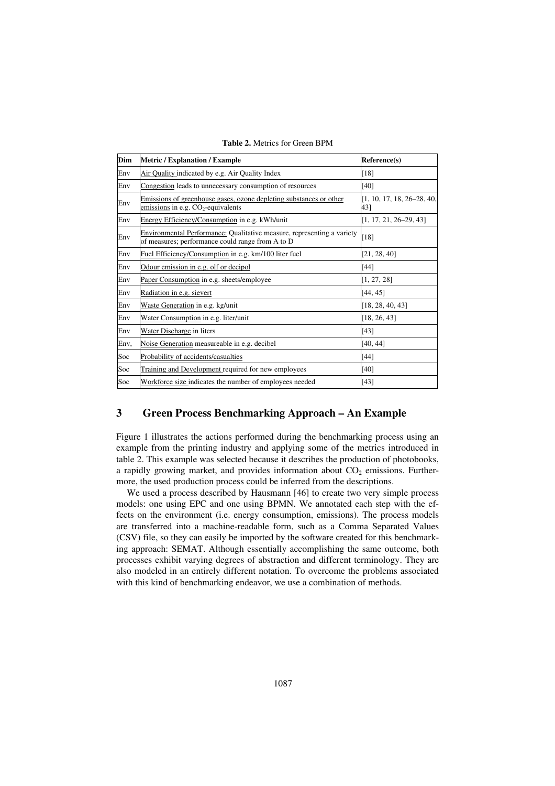| Dim  | <b>Metric / Explanation / Example</b>                                                                                      | Reference(s)                        |
|------|----------------------------------------------------------------------------------------------------------------------------|-------------------------------------|
| Env  | Air Quality indicated by e.g. Air Quality Index                                                                            | $[18]$                              |
| Env  | Congestion leads to unnecessary consumption of resources                                                                   | $[40]$                              |
| Env  | Emissions of greenhouse gases, ozone depleting substances or other<br>emissions in e.g. $CO2$ -equivalents                 | $[1, 10, 17, 18, 26-28, 40,$<br>43] |
| Env  | Energy Efficiency/Consumption in e.g. kWh/unit                                                                             | $[1, 17, 21, 26-29, 43]$            |
| Env  | Environmental Performance: Qualitative measure, representing a variety<br>of measures; performance could range from A to D | $[18]$                              |
| Env  | Fuel Efficiency/Consumption in e.g. km/100 liter fuel                                                                      | [21, 28, 40]                        |
| Env  | Odour emission in e.g. olf or decipol                                                                                      | [44]                                |
| Env  | Paper Consumption in e.g. sheets/employee                                                                                  | [1, 27, 28]                         |
| Env  | Radiation in e.g. sievert                                                                                                  | [44, 45]                            |
| Env  | Waste Generation in e.g. kg/unit                                                                                           | [18, 28, 40, 43]                    |
| Env  | Water Consumption in e.g. liter/unit                                                                                       | [18, 26, 43]                        |
| Env  | Water Discharge in liters                                                                                                  | [43]                                |
| Env, | Noise Generation measureable in e.g. decibel                                                                               | [40, 44]                            |
| Soc  | Probability of accidents/casualties                                                                                        | $[44]$                              |
| Soc  | Training and Development required for new employees                                                                        | $[40]$                              |
| Soc  | Workforce size indicates the number of employees needed                                                                    | $[43]$                              |

**Table 2.** Metrics for Green BPM

# **3 Green Process Benchmarking Approach – An Example**

Figure 1 illustrates the actions performed during the benchmarking process using an example from the printing industry and applying some of the metrics introduced in table 2. This example was selected because it describes the production of photobooks, a rapidly growing market, and provides information about  $CO<sub>2</sub>$  emissions. Furthermore, the used production process could be inferred from the descriptions.

We used a process described by Hausmann [46] to create two very simple process models: one using EPC and one using BPMN. We annotated each step with the effects on the environment (i.e. energy consumption, emissions). The process models are transferred into a machine-readable form, such as a Comma Separated Values (CSV) file, so they can easily be imported by the software created for this benchmarking approach: SEMAT. Although essentially accomplishing the same outcome, both processes exhibit varying degrees of abstraction and different terminology. They are also modeled in an entirely different notation. To overcome the problems associated with this kind of benchmarking endeavor, we use a combination of methods.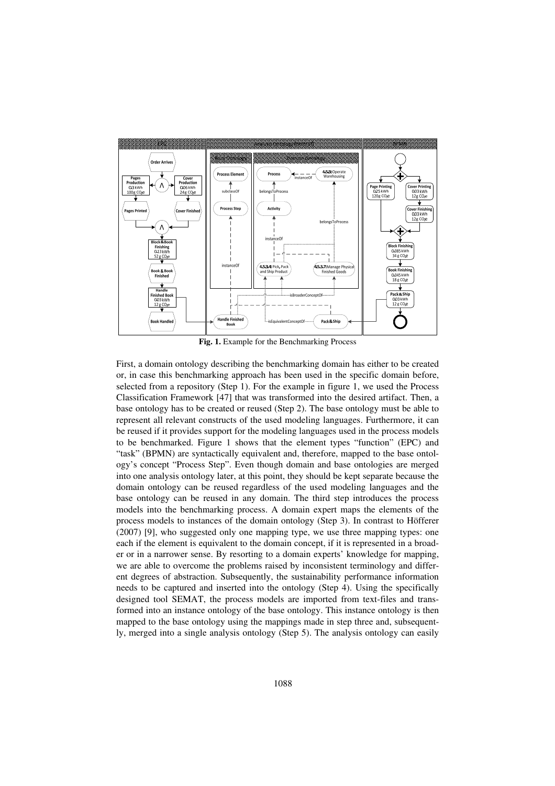

**Fig. 1.** Example for the Benchmarking Process

First, a domain ontology describing the benchmarking domain has either to be created or, in case this benchmarking approach has been used in the specific domain before, selected from a repository (Step 1). For the example in figure 1, we used the Process Classification Framework [47] that was transformed into the desired artifact. Then, a base ontology has to be created or reused (Step 2). The base ontology must be able to represent all relevant constructs of the used modeling languages. Furthermore, it can be reused if it provides support for the modeling languages used in the process models to be benchmarked. Figure 1 shows that the element types "function" (EPC) and "task" (BPMN) are syntactically equivalent and, therefore, mapped to the base ontology's concept "Process Step". Even though domain and base ontologies are merged into one analysis ontology later, at this point, they should be kept separate because the domain ontology can be reused regardless of the used modeling languages and the base ontology can be reused in any domain. The third step introduces the process models into the benchmarking process. A domain expert maps the elements of the process models to instances of the domain ontology (Step 3). In contrast to Höfferer (2007) [9], who suggested only one mapping type, we use three mapping types: one each if the element is equivalent to the domain concept, if it is represented in a broader or in a narrower sense. By resorting to a domain experts' knowledge for mapping, we are able to overcome the problems raised by inconsistent terminology and different degrees of abstraction. Subsequently, the sustainability performance information needs to be captured and inserted into the ontology (Step 4). Using the specifically designed tool SEMAT, the process models are imported from text-files and transformed into an instance ontology of the base ontology. This instance ontology is then mapped to the base ontology using the mappings made in step three and, subsequently, merged into a single analysis ontology (Step 5). The analysis ontology can easily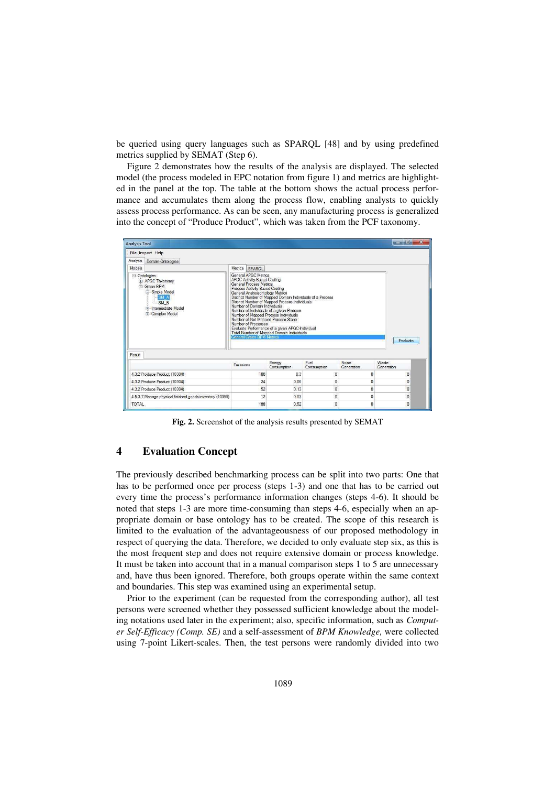be queried using query languages such as SPARQL [48] and by using predefined metrics supplied by SEMAT (Step 6).

Figure 2 demonstrates how the results of the analysis are displayed. The selected model (the process modeled in EPC notation from figure 1) and metrics are highlighted in the panel at the top. The table at the bottom shows the actual process performance and accumulates them along the process flow, enabling analysts to quickly assess process performance. As can be seen, any manufacturing process is generalized into the concept of "Produce Product", which was taken from the PCF taxonomy.

| <b>Analysis Tool</b>                                                                                                                               |                                                                                                                                                                                                                                                                                                                                                                                                                                     |                                                                                                                                                                |                     |                            | $\overline{\mathbf{x}}$<br>$\Box$<br>$\frac{1}{2}$ |  |  |
|----------------------------------------------------------------------------------------------------------------------------------------------------|-------------------------------------------------------------------------------------------------------------------------------------------------------------------------------------------------------------------------------------------------------------------------------------------------------------------------------------------------------------------------------------------------------------------------------------|----------------------------------------------------------------------------------------------------------------------------------------------------------------|---------------------|----------------------------|----------------------------------------------------|--|--|
| File Import Help                                                                                                                                   |                                                                                                                                                                                                                                                                                                                                                                                                                                     |                                                                                                                                                                |                     |                            |                                                    |  |  |
| Analysis<br>Domain-Ontologies                                                                                                                      |                                                                                                                                                                                                                                                                                                                                                                                                                                     |                                                                                                                                                                |                     |                            |                                                    |  |  |
| Models<br>Metrics SPAROL                                                                                                                           |                                                                                                                                                                                                                                                                                                                                                                                                                                     |                                                                                                                                                                |                     |                            |                                                    |  |  |
| <b>E</b> -Ontologies<br><b>E</b> APQC Taxonomy<br>Green RPM<br>G Simple Model<br>SM A<br>$-SM B$<br><b>Fightermediate Model</b><br>E Complex Model | General APQC Metrics<br><b>APQC Activity-Based Costing</b><br><b>General Process Metrics</b><br>Process Activity-Based Costing<br>General Analysisontology Metrics<br>Number of Domain Individuals<br>Number of Individuals of a given Process<br>Number of Mapped Process Individuals<br>Number of Not Mapped Process Steps<br>Number of Processes<br>Evaluate Performance of a given APQC-Individual<br>General Green BPM Metrics | Distinct Number of Mapped Domain Individuals of a Process<br>Distinct Number of Mapped Process Individuals<br><b>Total Number of Mapped Domain Individuals</b> |                     |                            | Evaluate                                           |  |  |
|                                                                                                                                                    |                                                                                                                                                                                                                                                                                                                                                                                                                                     |                                                                                                                                                                |                     |                            |                                                    |  |  |
|                                                                                                                                                    |                                                                                                                                                                                                                                                                                                                                                                                                                                     |                                                                                                                                                                |                     |                            |                                                    |  |  |
|                                                                                                                                                    | <b>Emissions</b>                                                                                                                                                                                                                                                                                                                                                                                                                    | Energy<br>Consumption                                                                                                                                          | Fuel<br>Consumption | <b>Noise</b><br>Generation | Waste<br>Generation                                |  |  |
| 4.3.2 Produce Product (10304)                                                                                                                      | 100                                                                                                                                                                                                                                                                                                                                                                                                                                 | 0.3                                                                                                                                                            | 0                   | 0                          | 0                                                  |  |  |
| 4.3.2 Produce Product (10304)                                                                                                                      | 24                                                                                                                                                                                                                                                                                                                                                                                                                                  | 0.06                                                                                                                                                           | 0                   | $\overline{0}$             | $\theta$                                           |  |  |
| 4.3.2 Produce Product (10304)                                                                                                                      | 52                                                                                                                                                                                                                                                                                                                                                                                                                                  | 0.13                                                                                                                                                           | $\theta$            | $\overline{0}$             | $\overline{0}$                                     |  |  |
| Result<br>4.5.3.7 Manage physical finished goods inventory (10359)                                                                                 | 12                                                                                                                                                                                                                                                                                                                                                                                                                                  | 0.03                                                                                                                                                           | $\theta$            | $\Omega$                   | $\mathbf{0}$                                       |  |  |

**Fig. 2.** Screenshot of the analysis results presented by SEMAT

# **4 Evaluation Concept**

The previously described benchmarking process can be split into two parts: One that has to be performed once per process (steps 1-3) and one that has to be carried out every time the process's performance information changes (steps 4-6). It should be noted that steps 1-3 are more time-consuming than steps 4-6, especially when an appropriate domain or base ontology has to be created. The scope of this research is limited to the evaluation of the advantageousness of our proposed methodology in respect of querying the data. Therefore, we decided to only evaluate step six, as this is the most frequent step and does not require extensive domain or process knowledge. It must be taken into account that in a manual comparison steps 1 to 5 are unnecessary and, have thus been ignored. Therefore, both groups operate within the same context and boundaries. This step was examined using an experimental setup.

Prior to the experiment (can be requested from the corresponding author), all test persons were screened whether they possessed sufficient knowledge about the modeling notations used later in the experiment; also, specific information, such as *Computer Self-Efficacy (Comp. SE)* and a self-assessment of *BPM Knowledge,* were collected using 7-point Likert-scales. Then, the test persons were randomly divided into two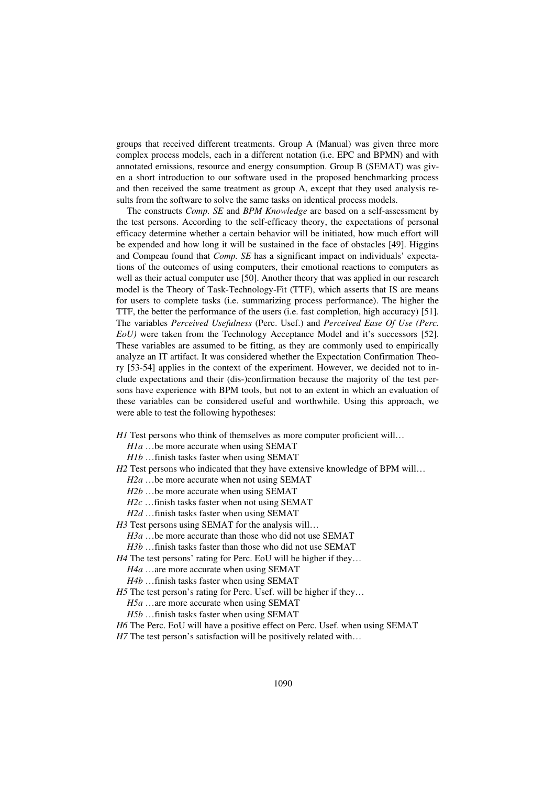groups that received different treatments. Group A (Manual) was given three more complex process models, each in a different notation (i.e. EPC and BPMN) and with annotated emissions, resource and energy consumption. Group B (SEMAT) was given a short introduction to our software used in the proposed benchmarking process and then received the same treatment as group A, except that they used analysis results from the software to solve the same tasks on identical process models.

The constructs *Comp. SE* and *BPM Knowledge* are based on a self-assessment by the test persons. According to the self-efficacy theory, the expectations of personal efficacy determine whether a certain behavior will be initiated, how much effort will be expended and how long it will be sustained in the face of obstacles [49]. Higgins and Compeau found that *Comp. SE* has a significant impact on individuals' expectations of the outcomes of using computers, their emotional reactions to computers as well as their actual computer use [50]. Another theory that was applied in our research model is the Theory of Task-Technology-Fit (TTF), which asserts that IS are means for users to complete tasks (i.e. summarizing process performance). The higher the TTF, the better the performance of the users (i.e. fast completion, high accuracy) [51]. The variables *Perceived Usefulness* (Perc. Usef.) and *Perceived Ease Of Use (Perc. EoU)* were taken from the Technology Acceptance Model and it's successors [52]. These variables are assumed to be fitting, as they are commonly used to empirically analyze an IT artifact. It was considered whether the Expectation Confirmation Theory [53-54] applies in the context of the experiment. However, we decided not to include expectations and their (dis-)confirmation because the majority of the test persons have experience with BPM tools, but not to an extent in which an evaluation of these variables can be considered useful and worthwhile. Using this approach, we were able to test the following hypotheses:

*H1* Test persons who think of themselves as more computer proficient will...

*H1a* …be more accurate when using SEMAT

*H1b* …finish tasks faster when using SEMAT

- *H2* Test persons who indicated that they have extensive knowledge of BPM will...
	- *H2a* …be more accurate when not using SEMAT
	- *H2b* …be more accurate when using SEMAT
	- *H2c* …finish tasks faster when not using SEMAT

*H2d* …finish tasks faster when using SEMAT

*H3* Test persons using SEMAT for the analysis will...

- *H3a* …be more accurate than those who did not use SEMAT
- *H3b* …finish tasks faster than those who did not use SEMAT

*H4* The test persons' rating for Perc. EoU will be higher if they...

- *H4a* …are more accurate when using SEMAT
- *H4b* …finish tasks faster when using SEMAT
- *H5* The test person's rating for Perc. Usef. will be higher if they...

*H5a* …are more accurate when using SEMAT

*H5b* …finish tasks faster when using SEMAT

- *H6* The Perc. EoU will have a positive effect on Perc. Usef. when using SEMAT
- *H7* The test person's satisfaction will be positively related with...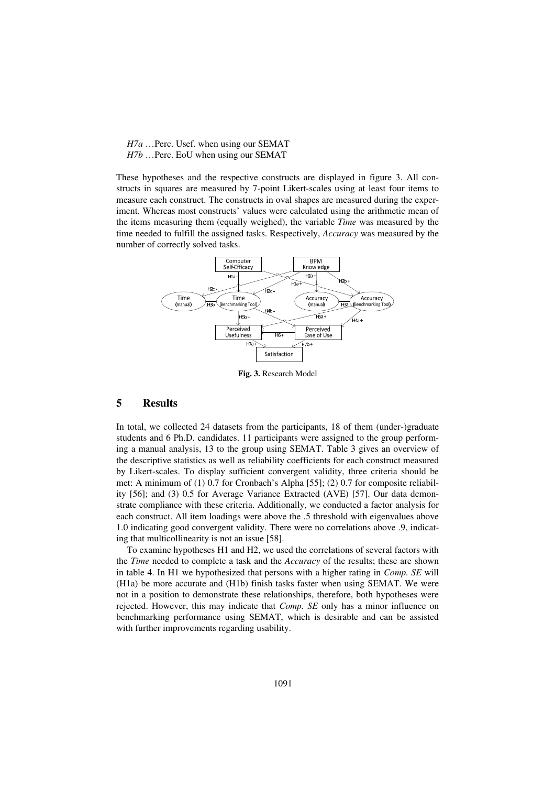*H7a* …Perc. Usef. when using our SEMAT *H7b* …Perc. EoU when using our SEMAT

These hypotheses and the respective constructs are displayed in figure 3. All constructs in squares are measured by 7-point Likert-scales using at least four items to measure each construct. The constructs in oval shapes are measured during the experiment. Whereas most constructs' values were calculated using the arithmetic mean of the items measuring them (equally weighed), the variable *Time* was measured by the time needed to fulfill the assigned tasks. Respectively, *Accuracy* was measured by the number of correctly solved tasks.



**Fig. 3.** Research Model

## **5 Results**

In total, we collected 24 datasets from the participants, 18 of them (under-)graduate students and 6 Ph.D. candidates. 11 participants were assigned to the group performing a manual analysis, 13 to the group using SEMAT. Table 3 gives an overview of the descriptive statistics as well as reliability coefficients for each construct measured by Likert-scales. To display sufficient convergent validity, three criteria should be met: A minimum of (1) 0.7 for Cronbach's Alpha [55]; (2) 0.7 for composite reliability [56]; and (3) 0.5 for Average Variance Extracted (AVE) [57]. Our data demonstrate compliance with these criteria. Additionally, we conducted a factor analysis for each construct. All item loadings were above the .5 threshold with eigenvalues above 1.0 indicating good convergent validity. There were no correlations above .9, indicating that multicollinearity is not an issue [58].

To examine hypotheses H1 and H2, we used the correlations of several factors with the *Time* needed to complete a task and the *Accuracy* of the results; these are shown in table 4. In H1 we hypothesized that persons with a higher rating in *Comp. SE* will (H1a) be more accurate and (H1b) finish tasks faster when using SEMAT. We were not in a position to demonstrate these relationships, therefore, both hypotheses were rejected. However, this may indicate that *Comp. SE* only has a minor influence on benchmarking performance using SEMAT, which is desirable and can be assisted with further improvements regarding usability.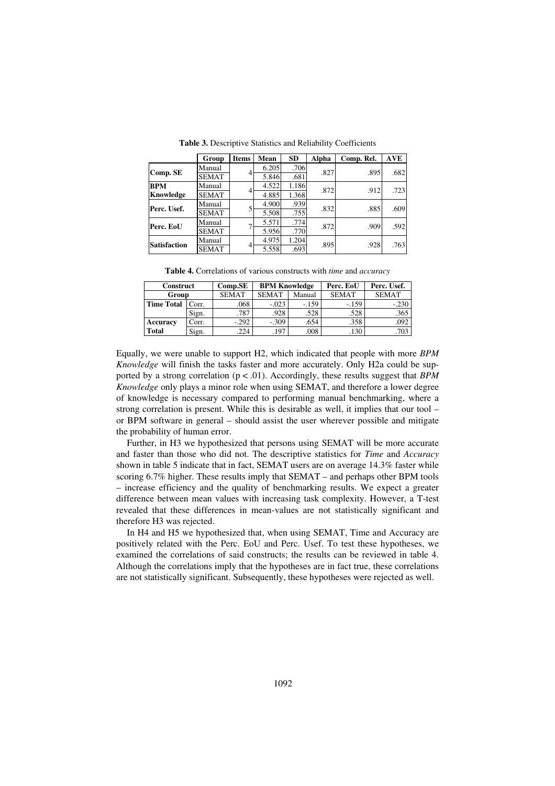|                     | Group        | <b>Items</b> | Mean  | <b>SD</b> | Alpha | Comp. Rel. | <b>AVE</b> |
|---------------------|--------------|--------------|-------|-----------|-------|------------|------------|
|                     | Manual       |              | 6.205 | .706      | .827  | .895       | .682       |
| Comp. SE            | <b>SEMAT</b> |              | 5.846 | .681      |       |            |            |
| <b>BPM</b>          | Manual       |              | 4.522 | 1.186     | .872  | .912       | .723       |
| Knowledge           | <b>SEMAT</b> |              | 4.885 | 1.368     |       |            |            |
| Perc. Usef.         | Manual       |              | 4.900 | .939      | .832  | .885       | .609       |
|                     | <b>SEMAT</b> |              | 5.508 | .755      |       |            |            |
| Perc. EoU           | Manual       |              | 5.571 | .774      | .872  | .909       | .592       |
|                     | <b>SEMAT</b> |              | 5.956 | .770      |       |            |            |
| <b>Satisfaction</b> | Manual       | 4            | 4.975 | 1.204     | .895  | .928       | .763       |
|                     | <b>SEMAT</b> |              | 5.558 | .693      |       |            |            |

**Table 3.** Descriptive Statistics and Reliability Coefficients

**Table 4.** Correlations of various constructs with *time* and *accuracy*

| Construct         |       | CompSE       | <b>BPM Knowledge</b> |        | Perc. EoU    | Perc. Usef.  |  |
|-------------------|-------|--------------|----------------------|--------|--------------|--------------|--|
| Group             |       | <b>SEMAT</b> | <b>SEMAT</b>         | Manual | <b>SEMAT</b> | <b>SEMAT</b> |  |
| <b>Time Total</b> | Corr. | .068         | $-.023$              | $-159$ | $-.159$      | $-.230$      |  |
|                   | Sign. | .787         | .928                 | .528   | .528         | .365         |  |
| Accuracy          | Corr. | $-.292$      | $-.309$              | .654   | .358         | .092         |  |
| <b>Total</b>      | Sign. | 224          | .197                 | .008   | .130         | .703         |  |

Equally, we were unable to support H2, which indicated that people with more *BPM Knowledge* will finish the tasks faster and more accurately. Only H2a could be supported by a strong correlation (p < .01). Accordingly, these results suggest that *BPM Knowledge* only plays a minor role when using SEMAT, and therefore a lower degree of knowledge is necessary compared to performing manual benchmarking, where a strong correlation is present. While this is desirable as well, it implies that our tool – or BPM software in general – should assist the user wherever possible and mitigate the probability of human error.

Further, in H3 we hypothesized that persons using SEMAT will be more accurate and faster than those who did not. The descriptive statistics for *Time* and *Accuracy* shown in table 5 indicate that in fact, SEMAT users are on average 14.3% faster while scoring 6.7% higher. These results imply that SEMAT – and perhaps other BPM tools – increase efficiency and the quality of benchmarking results. We expect a greater difference between mean values with increasing task complexity. However, a T-test revealed that these differences in mean-values are not statistically significant and therefore H3 was rejected.

In H4 and H5 we hypothesized that, when using SEMAT, Time and Accuracy are positively related with the Perc. EoU and Perc. Usef. To test these hypotheses, we examined the correlations of said constructs; the results can be reviewed in table 4. Although the correlations imply that the hypotheses are in fact true, these correlations are not statistically significant. Subsequently, these hypotheses were rejected as well.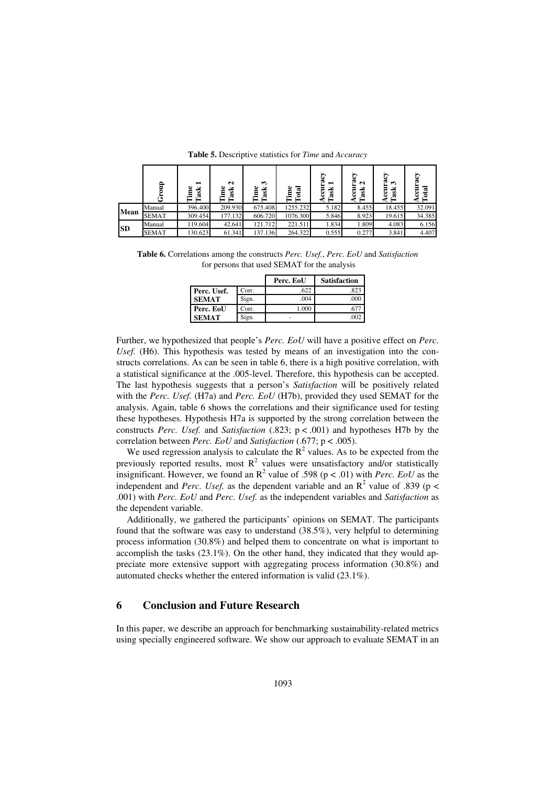|           | 음            | −<br>ask | N<br>ڡ<br>Task | $\mathbf{\hat{z}}$<br>Time<br>Task | ă<br>ನ   | E<br>−<br>÷š<br>3<br>œ | దా<br>5<br>N<br>ď<br>ខូ<br>œ | Ξ<br>ొ<br>÷š<br>ខូ<br>చె | 쿥      |
|-----------|--------------|----------|----------------|------------------------------------|----------|------------------------|------------------------------|--------------------------|--------|
| Mean      | Manual       | 396.400  | 209.930        | 675.408                            | 1255.232 | 5.182                  | 8.455                        | 18.455                   | 32.091 |
|           | <b>SEMAT</b> | 309.454  | 177.132        | 606.720                            | 1076.300 | 5.846                  | 8.923                        | 19.615                   | 34.385 |
| <b>SD</b> | Manual       | 119.604  | 42.641         | 121.712                            | 221.511  | 1.834                  | 1.809                        | 4.083                    | 6.156  |
|           | <b>SEMAT</b> | 130.623  | 61.341         | 137.136                            | 264.322  | 0.555                  | 0.277                        | 3.841                    | 4.407  |

**Table 5.** Descriptive statistics for *Time* and *Accuracy*

**Table 6.** Correlations among the constructs *Perc. Usef.*, *Perc. EoU* and *Satisfaction*  for persons that used SEMAT for the analysis

|              |       | Perc. EoU | <b>Satisfaction</b> |
|--------------|-------|-----------|---------------------|
| Perc. Usef.  | Corr. | .622      | .823                |
| <b>SEMAT</b> | Sign. | .004      | .000                |
| Perc. EoU    | Corr. | 1.000     |                     |
| <b>SEMAT</b> | Sign. |           | .002                |

Further, we hypothesized that people's *Perc. EoU* will have a positive effect on *Perc.*  Usef. (H6). This hypothesis was tested by means of an investigation into the constructs correlations. As can be seen in table 6, there is a high positive correlation, with a statistical significance at the .005-level. Therefore, this hypothesis can be accepted. The last hypothesis suggests that a person's *Satisfaction* will be positively related with the *Perc. Usef.* (H7a) and *Perc. EoU* (H7b), provided they used SEMAT for the analysis. Again, table 6 shows the correlations and their significance used for testing these hypotheses. Hypothesis H7a is supported by the strong correlation between the constructs *Perc. Usef.* and *Satisfaction* (.823; p < .001) and hypotheses H7b by the correlation between *Perc. EoU* and *Satisfaction* (.677; p < .005).

We used regression analysis to calculate the  $R^2$  values. As to be expected from the previously reported results, most  $R^2$  values were unsatisfactory and/or statistically insignificant. However, we found an  $R^2$  value of .598 ( $p < .01$ ) with *Perc. EoU* as the independent and *Perc. Usef.* as the dependent variable and an  $R^2$  value of .839 ( $p <$ .001) with *Perc. EoU* and *Perc. Usef.* as the independent variables and *Satisfaction* as the dependent variable.

Additionally, we gathered the participants' opinions on SEMAT. The participants found that the software was easy to understand (38.5%), very helpful to determining process information (30.8%) and helped them to concentrate on what is important to accomplish the tasks (23.1%). On the other hand, they indicated that they would appreciate more extensive support with aggregating process information (30.8%) and automated checks whether the entered information is valid (23.1%).

#### **6 Conclusion and Future Research**

In this paper, we describe an approach for benchmarking sustainability-related metrics using specially engineered software. We show our approach to evaluate SEMAT in an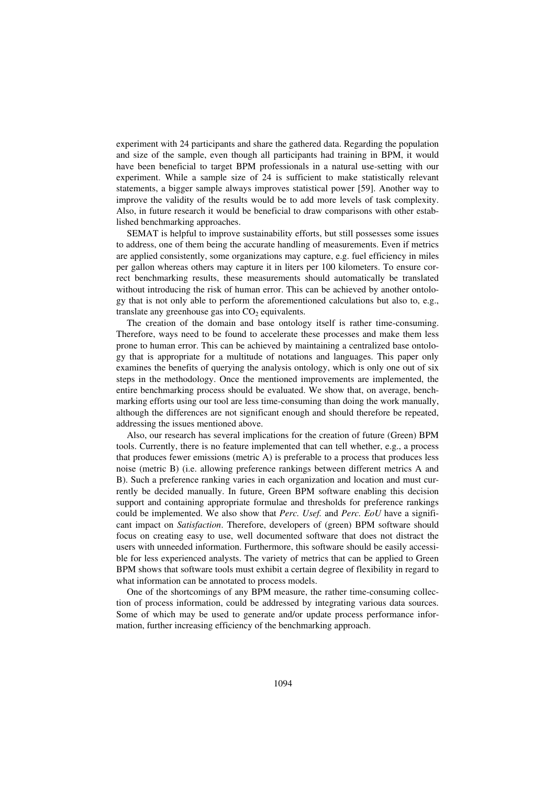experiment with 24 participants and share the gathered data. Regarding the population and size of the sample, even though all participants had training in BPM, it would have been beneficial to target BPM professionals in a natural use-setting with our experiment. While a sample size of 24 is sufficient to make statistically relevant statements, a bigger sample always improves statistical power [59]. Another way to improve the validity of the results would be to add more levels of task complexity. Also, in future research it would be beneficial to draw comparisons with other established benchmarking approaches.

SEMAT is helpful to improve sustainability efforts, but still possesses some issues to address, one of them being the accurate handling of measurements. Even if metrics are applied consistently, some organizations may capture, e.g. fuel efficiency in miles per gallon whereas others may capture it in liters per 100 kilometers. To ensure correct benchmarking results, these measurements should automatically be translated without introducing the risk of human error. This can be achieved by another ontology that is not only able to perform the aforementioned calculations but also to, e.g., translate any greenhouse gas into  $CO<sub>2</sub>$  equivalents.

The creation of the domain and base ontology itself is rather time-consuming. Therefore, ways need to be found to accelerate these processes and make them less prone to human error. This can be achieved by maintaining a centralized base ontology that is appropriate for a multitude of notations and languages. This paper only examines the benefits of querying the analysis ontology, which is only one out of six steps in the methodology. Once the mentioned improvements are implemented, the entire benchmarking process should be evaluated. We show that, on average, benchmarking efforts using our tool are less time-consuming than doing the work manually, although the differences are not significant enough and should therefore be repeated, addressing the issues mentioned above.

Also, our research has several implications for the creation of future (Green) BPM tools. Currently, there is no feature implemented that can tell whether, e.g., a process that produces fewer emissions (metric A) is preferable to a process that produces less noise (metric B) (i.e. allowing preference rankings between different metrics A and B). Such a preference ranking varies in each organization and location and must currently be decided manually. In future, Green BPM software enabling this decision support and containing appropriate formulae and thresholds for preference rankings could be implemented. We also show that *Perc. Usef.* and *Perc. EoU* have a significant impact on *Satisfaction*. Therefore, developers of (green) BPM software should focus on creating easy to use, well documented software that does not distract the users with unneeded information. Furthermore, this software should be easily accessible for less experienced analysts. The variety of metrics that can be applied to Green BPM shows that software tools must exhibit a certain degree of flexibility in regard to what information can be annotated to process models.

One of the shortcomings of any BPM measure, the rather time-consuming collection of process information, could be addressed by integrating various data sources. Some of which may be used to generate and/or update process performance information, further increasing efficiency of the benchmarking approach.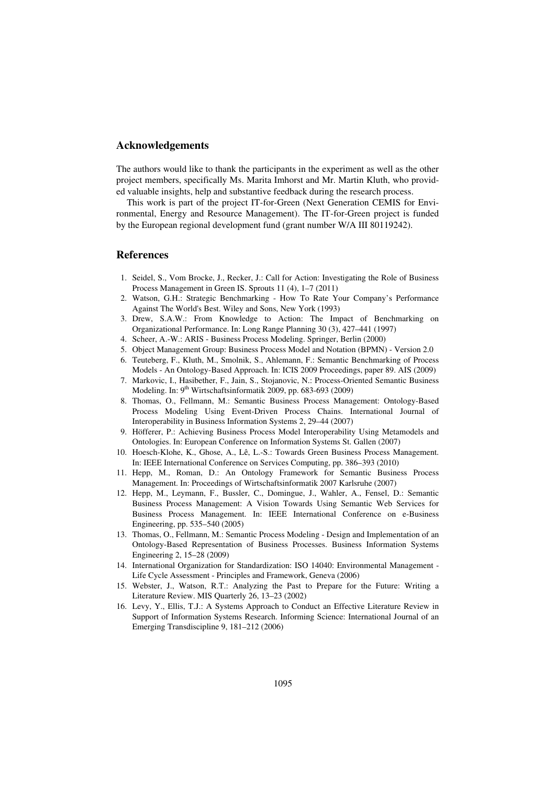#### **Acknowledgements**

The authors would like to thank the participants in the experiment as well as the other project members, specifically Ms. Marita Imhorst and Mr. Martin Kluth, who provided valuable insights, help and substantive feedback during the research process.

This work is part of the project IT-for-Green (Next Generation CEMIS for Environmental, Energy and Resource Management). The IT-for-Green project is funded by the European regional development fund (grant number W/A III 80119242).

### **References**

- 1. Seidel, S., Vom Brocke, J., Recker, J.: Call for Action: Investigating the Role of Business Process Management in Green IS. Sprouts 11 (4), 1–7 (2011)
- 2. Watson, G.H.: Strategic Benchmarking How To Rate Your Company's Performance Against The World's Best. Wiley and Sons, New York (1993)
- 3. Drew, S.A.W.: From Knowledge to Action: The Impact of Benchmarking on Organizational Performance. In: Long Range Planning 30 (3), 427–441 (1997)
- 4. Scheer, A.-W.: ARIS Business Process Modeling. Springer, Berlin (2000)
- 5. Object Management Group: Business Process Model and Notation (BPMN) Version 2.0
- 6. Teuteberg, F., Kluth, M., Smolnik, S., Ahlemann, F.: Semantic Benchmarking of Process Models - An Ontology-Based Approach. In: ICIS 2009 Proceedings, paper 89. AIS (2009)
- 7. Markovic, I., Hasibether, F., Jain, S., Stojanovic, N.: Process-Oriented Semantic Business Modeling. In: 9<sup>th</sup> Wirtschaftsinformatik 2009, pp. 683-693 (2009)
- 8. Thomas, O., Fellmann, M.: Semantic Business Process Management: Ontology-Based Process Modeling Using Event-Driven Process Chains. International Journal of Interoperability in Business Information Systems 2, 29–44 (2007)
- 9. Höfferer, P.: Achieving Business Process Model Interoperability Using Metamodels and Ontologies. In: European Conference on Information Systems St. Gallen (2007)
- 10. Hoesch-Klohe, K., Ghose, A., Lê, L.-S.: Towards Green Business Process Management. In: IEEE International Conference on Services Computing, pp. 386–393 (2010)
- 11. Hepp, M., Roman, D.: An Ontology Framework for Semantic Business Process Management. In: Proceedings of Wirtschaftsinformatik 2007 Karlsruhe (2007)
- 12. Hepp, M., Leymann, F., Bussler, C., Domingue, J., Wahler, A., Fensel, D.: Semantic Business Process Management: A Vision Towards Using Semantic Web Services for Business Process Management. In: IEEE International Conference on e-Business Engineering, pp. 535–540 (2005)
- 13. Thomas, O., Fellmann, M.: Semantic Process Modeling Design and Implementation of an Ontology-Based Representation of Business Processes. Business Information Systems Engineering 2, 15–28 (2009)
- 14. International Organization for Standardization: ISO 14040: Environmental Management Life Cycle Assessment - Principles and Framework, Geneva (2006)
- 15. Webster, J., Watson, R.T.: Analyzing the Past to Prepare for the Future: Writing a Literature Review. MIS Quarterly 26, 13–23 (2002)
- 16. Levy, Y., Ellis, T.J.: A Systems Approach to Conduct an Effective Literature Review in Support of Information Systems Research. Informing Science: International Journal of an Emerging Transdiscipline 9, 181–212 (2006)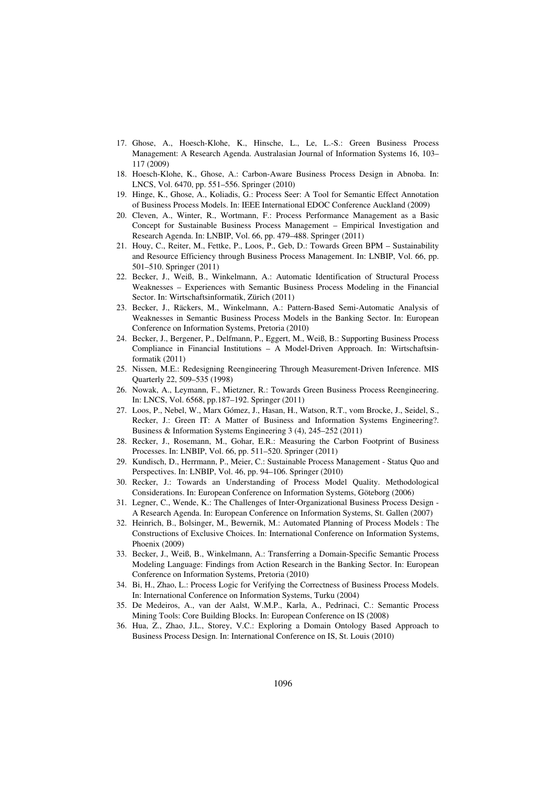- 17. Ghose, A., Hoesch-Klohe, K., Hinsche, L., Le, L.-S.: Green Business Process Management: A Research Agenda. Australasian Journal of Information Systems 16, 103– 117 (2009)
- 18. Hoesch-Klohe, K., Ghose, A.: Carbon-Aware Business Process Design in Abnoba. In: LNCS, Vol. 6470, pp. 551–556. Springer (2010)
- 19. Hinge, K., Ghose, A., Koliadis, G.: Process Seer: A Tool for Semantic Effect Annotation of Business Process Models. In: IEEE International EDOC Conference Auckland (2009)
- 20. Cleven, A., Winter, R., Wortmann, F.: Process Performance Management as a Basic Concept for Sustainable Business Process Management – Empirical Investigation and Research Agenda. In: LNBIP, Vol. 66, pp. 479–488. Springer (2011)
- 21. Houy, C., Reiter, M., Fettke, P., Loos, P., Geb, D.: Towards Green BPM Sustainability and Resource Efficiency through Business Process Management. In: LNBIP, Vol. 66, pp. 501–510. Springer (2011)
- 22. Becker, J., Weiß, B., Winkelmann, A.: Automatic Identification of Structural Process Weaknesses – Experiences with Semantic Business Process Modeling in the Financial Sector. In: Wirtschaftsinformatik, Zürich (2011)
- 23. Becker, J., Räckers, M., Winkelmann, A.: Pattern-Based Semi-Automatic Analysis of Weaknesses in Semantic Business Process Models in the Banking Sector. In: European Conference on Information Systems, Pretoria (2010)
- 24. Becker, J., Bergener, P., Delfmann, P., Eggert, M., Weiß, B.: Supporting Business Process Compliance in Financial Institutions – A Model-Driven Approach. In: Wirtschaftsinformatik (2011)
- 25. Nissen, M.E.: Redesigning Reengineering Through Measurement-Driven Inference. MIS Quarterly 22, 509–535 (1998)
- 26. Nowak, A., Leymann, F., Mietzner, R.: Towards Green Business Process Reengineering. In: LNCS, Vol. 6568, pp.187–192. Springer (2011)
- 27. Loos, P., Nebel, W., Marx Gómez, J., Hasan, H., Watson, R.T., vom Brocke, J., Seidel, S., Recker, J.: Green IT: A Matter of Business and Information Systems Engineering?. Business & Information Systems Engineering 3 (4), 245–252 (2011)
- 28. Recker, J., Rosemann, M., Gohar, E.R.: Measuring the Carbon Footprint of Business Processes. In: LNBIP, Vol. 66, pp. 511–520. Springer (2011)
- 29. Kundisch, D., Herrmann, P., Meier, C.: Sustainable Process Management Status Quo and Perspectives. In: LNBIP, Vol. 46, pp. 94–106. Springer (2010)
- 30. Recker, J.: Towards an Understanding of Process Model Quality. Methodological Considerations. In: European Conference on Information Systems, Göteborg (2006)
- 31. Legner, C., Wende, K.: The Challenges of Inter-Organizational Business Process Design A Research Agenda. In: European Conference on Information Systems, St. Gallen (2007)
- 32. Heinrich, B., Bolsinger, M., Bewernik, M.: Automated Planning of Process Models: The Constructions of Exclusive Choices. In: International Conference on Information Systems, Phoenix (2009)
- 33. Becker, J., Weiß, B., Winkelmann, A.: Transferring a Domain-Specific Semantic Process Modeling Language: Findings from Action Research in the Banking Sector. In: European Conference on Information Systems, Pretoria (2010)
- 34. Bi, H., Zhao, L.: Process Logic for Verifying the Correctness of Business Process Models. In: International Conference on Information Systems, Turku (2004)
- 35. De Medeiros, A., van der Aalst, W.M.P., Karla, A., Pedrinaci, C.: Semantic Process Mining Tools: Core Building Blocks. In: European Conference on IS (2008)
- 36. Hua, Z., Zhao, J.L., Storey, V.C.: Exploring a Domain Ontology Based Approach to Business Process Design. In: International Conference on IS, St. Louis (2010)